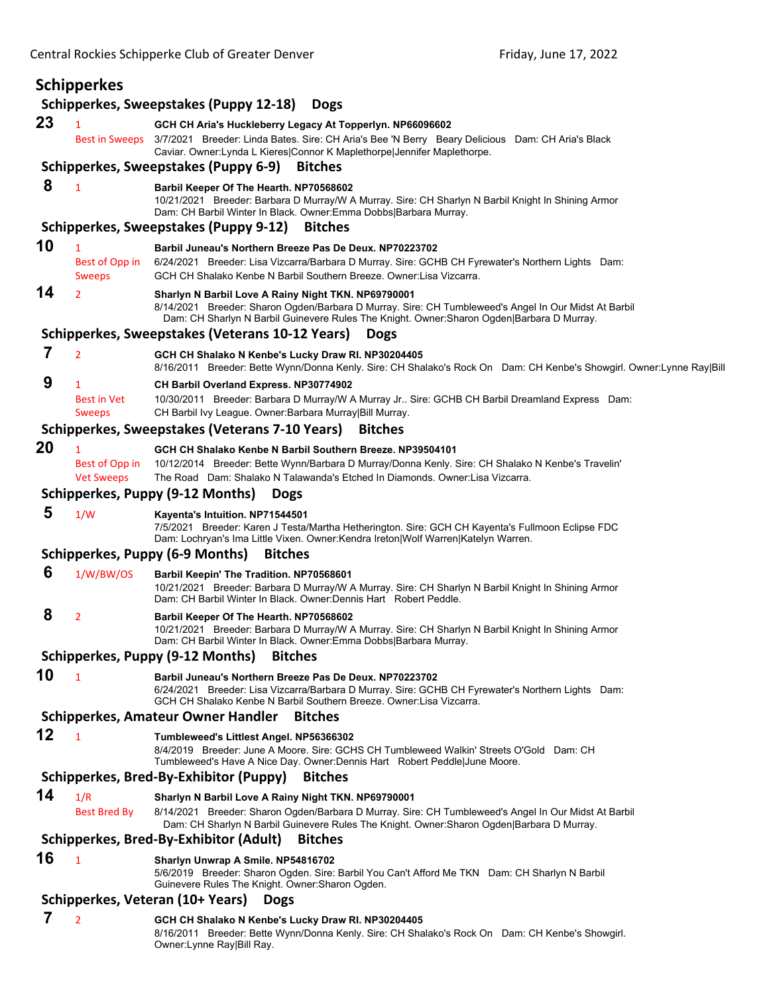|    | Schipperkes                              |                                                                                                                                                                                                                                                                                                      |
|----|------------------------------------------|------------------------------------------------------------------------------------------------------------------------------------------------------------------------------------------------------------------------------------------------------------------------------------------------------|
| 23 | 1<br><b>Best in Sweeps</b>               | Schipperkes, Sweepstakes (Puppy 12-18)<br><b>Dogs</b><br>GCH CH Aria's Huckleberry Legacy At Topperlyn. NP66096602<br>3/7/2021 Breeder: Linda Bates. Sire: CH Aria's Bee 'N Berry Beary Delicious Dam: CH Aria's Black<br>Caviar. Owner: Lynda L Kieres  Connor K Maplethorpe  Jennifer Maplethorpe. |
|    |                                          | Schipperkes, Sweepstakes (Puppy 6-9)<br><b>Bitches</b>                                                                                                                                                                                                                                               |
| 8  | $\mathbf{1}$                             | Barbil Keeper Of The Hearth. NP70568602<br>10/21/2021 Breeder: Barbara D Murray/W A Murray. Sire: CH Sharlyn N Barbil Knight In Shining Armor                                                                                                                                                        |
|    |                                          | Dam: CH Barbil Winter In Black. Owner: Emma Dobbs Barbara Murray.<br>Schipperkes, Sweepstakes (Puppy 9-12)<br><b>Bitches</b>                                                                                                                                                                         |
| 10 | 1                                        |                                                                                                                                                                                                                                                                                                      |
|    | Best of Opp in<br><b>Sweeps</b>          | Barbil Juneau's Northern Breeze Pas De Deux. NP70223702<br>6/24/2021 Breeder: Lisa Vizcarra/Barbara D Murray. Sire: GCHB CH Fyrewater's Northern Lights Dam:<br>GCH CH Shalako Kenbe N Barbil Southern Breeze. Owner: Lisa Vizcarra.                                                                 |
| 14 | $\overline{2}$                           | Sharlyn N Barbil Love A Rainy Night TKN. NP69790001<br>8/14/2021 Breeder: Sharon Ogden/Barbara D Murray. Sire: CH Tumbleweed's Angel In Our Midst At Barbil<br>Dam: CH Sharlyn N Barbil Guinevere Rules The Knight. Owner: Sharon Ogden Barbara D Murray.                                            |
|    |                                          | Schipperkes, Sweepstakes (Veterans 10-12 Years)<br><b>Dogs</b>                                                                                                                                                                                                                                       |
| 7  | $\overline{2}$                           | GCH CH Shalako N Kenbe's Lucky Draw RI. NP30204405                                                                                                                                                                                                                                                   |
|    |                                          | 8/16/2011 Breeder: Bette Wynn/Donna Kenly. Sire: CH Shalako's Rock On Dam: CH Kenbe's Showgirl. Owner:Lynne Ray Bill                                                                                                                                                                                 |
| 9  | 1<br><b>Best in Vet</b><br><b>Sweeps</b> | CH Barbil Overland Express. NP30774902<br>10/30/2011 Breeder: Barbara D Murray/W A Murray Jr Sire: GCHB CH Barbil Dreamland Express Dam:<br>CH Barbil Ivy League. Owner: Barbara Murray Bill Murray.                                                                                                 |
|    |                                          | Schipperkes, Sweepstakes (Veterans 7-10 Years)<br><b>Bitches</b>                                                                                                                                                                                                                                     |
| 20 | $\mathbf{1}$                             | GCH CH Shalako Kenbe N Barbil Southern Breeze. NP39504101                                                                                                                                                                                                                                            |
|    | Best of Opp in<br><b>Vet Sweeps</b>      | 10/12/2014 Breeder: Bette Wynn/Barbara D Murray/Donna Kenly. Sire: CH Shalako N Kenbe's Travelin'<br>The Road Dam: Shalako N Talawanda's Etched In Diamonds. Owner: Lisa Vizcarra.                                                                                                                   |
|    |                                          | Schipperkes, Puppy (9-12 Months)<br><b>Dogs</b>                                                                                                                                                                                                                                                      |
| 5  | 1/W                                      | Kayenta's Intuition. NP71544501<br>7/5/2021 Breeder: Karen J Testa/Martha Hetherington. Sire: GCH CH Kayenta's Fullmoon Eclipse FDC<br>Dam: Lochryan's Ima Little Vixen. Owner:Kendra Ireton Wolf Warren Katelyn Warren.                                                                             |
|    |                                          | <b>Schipperkes, Puppy (6-9 Months)</b><br><b>Bitches</b>                                                                                                                                                                                                                                             |
| 6  | 1/W/BW/OS                                | Barbil Keepin' The Tradition. NP70568601<br>10/21/2021 Breeder: Barbara D Murray/W A Murray. Sire: CH Sharlyn N Barbil Knight In Shining Armor<br>Dam: CH Barbil Winter In Black. Owner: Dennis Hart Robert Peddle.                                                                                  |
| 8  | 2                                        | Barbil Keeper Of The Hearth. NP70568602<br>10/21/2021 Breeder: Barbara D Murray/W A Murray. Sire: CH Sharlyn N Barbil Knight In Shining Armor<br>Dam: CH Barbil Winter In Black. Owner: Emma Dobbs   Barbara Murray.                                                                                 |
|    |                                          | Schipperkes, Puppy (9-12 Months)<br><b>Bitches</b>                                                                                                                                                                                                                                                   |
| 10 | $\mathbf{1}$                             | Barbil Juneau's Northern Breeze Pas De Deux, NP70223702<br>6/24/2021 Breeder: Lisa Vizcarra/Barbara D Murray. Sire: GCHB CH Fyrewater's Northern Lights Dam:<br>GCH CH Shalako Kenbe N Barbil Southern Breeze. Owner:Lisa Vizcarra.                                                                  |
|    |                                          | <b>Bitches</b><br>Schipperkes, Amateur Owner Handler                                                                                                                                                                                                                                                 |
| 12 | $\mathbf{1}$                             | Tumbleweed's Littlest Angel. NP56366302<br>8/4/2019 Breeder: June A Moore. Sire: GCHS CH Tumbleweed Walkin' Streets O'Gold Dam: CH<br>Tumbleweed's Have A Nice Day. Owner: Dennis Hart Robert Peddle June Moore.                                                                                     |
|    |                                          | Schipperkes, Bred-By-Exhibitor (Puppy)<br><b>Bitches</b>                                                                                                                                                                                                                                             |
| 14 | 1/R                                      | Sharlyn N Barbil Love A Rainy Night TKN. NP69790001                                                                                                                                                                                                                                                  |
|    | Best Bred By                             | 8/14/2021 Breeder: Sharon Ogden/Barbara D Murray. Sire: CH Tumbleweed's Angel In Our Midst At Barbil<br>Dam: CH Sharlyn N Barbil Guinevere Rules The Knight. Owner: Sharon Ogden Barbara D Murray.                                                                                                   |
|    |                                          | Schipperkes, Bred-By-Exhibitor (Adult)<br><b>Bitches</b>                                                                                                                                                                                                                                             |
| 16 | $\mathbf{1}$                             | Sharlyn Unwrap A Smile. NP54816702<br>5/6/2019 Breeder: Sharon Ogden. Sire: Barbil You Can't Afford Me TKN Dam: CH Sharlyn N Barbil<br>Guinevere Rules The Knight. Owner: Sharon Ogden.                                                                                                              |
|    |                                          | Schipperkes, Veteran (10+ Years)<br><b>Dogs</b>                                                                                                                                                                                                                                                      |
| 7  | $\overline{2}$                           | GCH CH Shalako N Kenbe's Lucky Draw RI. NP30204405<br>8/16/2011 Breeder: Bette Wynn/Donna Kenly. Sire: CH Shalako's Rock On Dam: CH Kenbe's Showgirl.<br>Owner: Lynne Ray Bill Ray.                                                                                                                  |